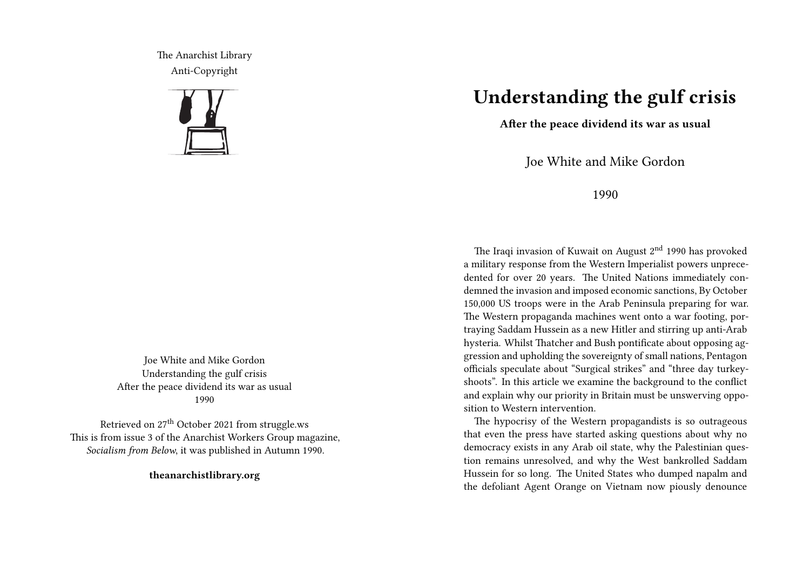The Anarchist Library Anti-Copyright



Joe White and Mike Gordon Understanding the gulf crisis After the peace dividend its war as usual 1990

Retrieved on 27<sup>th</sup> October 2021 from struggle.ws This is from issue 3 of the Anarchist Workers Group magazine, *Socialism from Below*, it was published in Autumn 1990.

**theanarchistlibrary.org**

## **Understanding the gulf crisis**

**After the peace dividend its war as usual**

Joe White and Mike Gordon

1990

The Iraqi invasion of Kuwait on August 2<sup>nd</sup> 1990 has provoked a military response from the Western Imperialist powers unprecedented for over 20 years. The United Nations immediately condemned the invasion and imposed economic sanctions, By October 150,000 US troops were in the Arab Peninsula preparing for war. The Western propaganda machines went onto a war footing, portraying Saddam Hussein as a new Hitler and stirring up anti-Arab hysteria. Whilst Thatcher and Bush pontificate about opposing aggression and upholding the sovereignty of small nations, Pentagon officials speculate about "Surgical strikes" and "three day turkeyshoots". In this article we examine the background to the conflict and explain why our priority in Britain must be unswerving opposition to Western intervention.

The hypocrisy of the Western propagandists is so outrageous that even the press have started asking questions about why no democracy exists in any Arab oil state, why the Palestinian question remains unresolved, and why the West bankrolled Saddam Hussein for so long. The United States who dumped napalm and the defoliant Agent Orange on Vietnam now piously denounce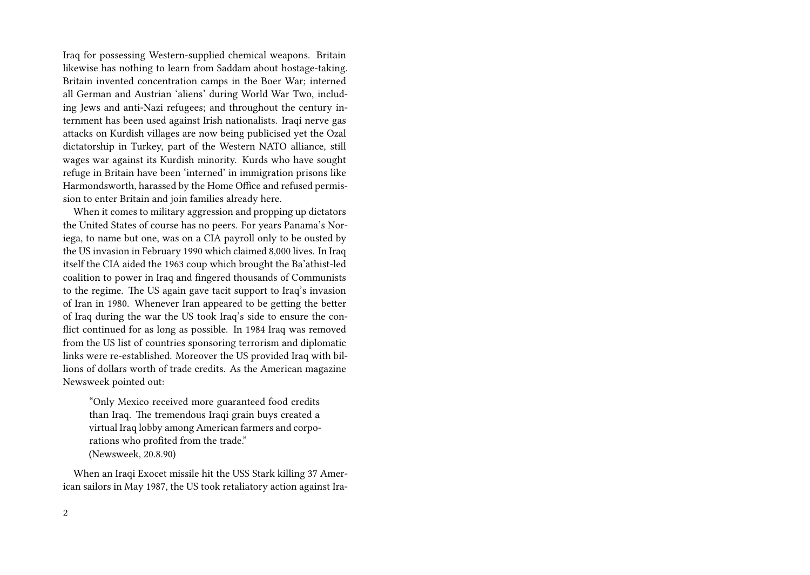Iraq for possessing Western-supplied chemical weapons. Britain likewise has nothing to learn from Saddam about hostage-taking. Britain invented concentration camps in the Boer War; interned all German and Austrian 'aliens' during World War Two, including Jews and anti-Nazi refugees; and throughout the century internment has been used against Irish nationalists. Iraqi nerve gas attacks on Kurdish villages are now being publicised yet the Ozal dictatorship in Turkey, part of the Western NATO alliance, still wages war against its Kurdish minority. Kurds who have sought refuge in Britain have been 'interned' in immigration prisons like Harmondsworth, harassed by the Home Office and refused permission to enter Britain and join families already here.

When it comes to military aggression and propping up dictators the United States of course has no peers. For years Panama's Noriega, to name but one, was on a CIA payroll only to be ousted by the US invasion in February 1990 which claimed 8,000 lives. In Iraq itself the CIA aided the 1963 coup which brought the Ba'athist-led coalition to power in Iraq and fingered thousands of Communists to the regime. The US again gave tacit support to Iraq's invasion of Iran in 1980. Whenever Iran appeared to be getting the better of Iraq during the war the US took Iraq's side to ensure the conflict continued for as long as possible. In 1984 Iraq was removed from the US list of countries sponsoring terrorism and diplomatic links were re-established. Moreover the US provided Iraq with billions of dollars worth of trade credits. As the American magazine Newsweek pointed out:

"Only Mexico received more guaranteed food credits than Iraq. The tremendous Iraqi grain buys created a virtual Iraq lobby among American farmers and corporations who profited from the trade." (Newsweek, 20.8.90)

When an Iraqi Exocet missile hit the USS Stark killing 37 American sailors in May 1987, the US took retaliatory action against Ira-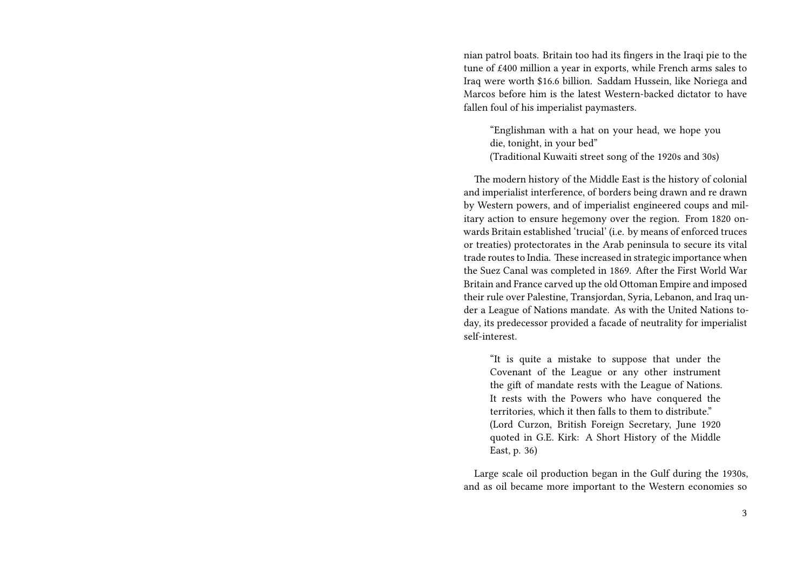nian patrol boats. Britain too had its fingers in the Iraqi pie to the tune of £400 million a year in exports, while French arms sales to Iraq were worth \$16.6 billion. Saddam Hussein, like Noriega and Marcos before him is the latest Western-backed dictator to have fallen foul of his imperialist paymasters.

"Englishman with a hat on your head, we hope you die, tonight, in your bed" (Traditional Kuwaiti street song of the 1920s and 30s)

The modern history of the Middle East is the history of colonial and imperialist interference, of borders being drawn and re drawn by Western powers, and of imperialist engineered coups and military action to ensure hegemony over the region. From 1820 onwards Britain established 'trucial' (i.e. by means of enforced truces or treaties) protectorates in the Arab peninsula to secure its vital trade routes to India. These increased in strategic importance when the Suez Canal was completed in 1869. After the First World War Britain and France carved up the old Ottoman Empire and imposed their rule over Palestine, Transjordan, Syria, Lebanon, and Iraq under a League of Nations mandate. As with the United Nations today, its predecessor provided a facade of neutrality for imperialist self-interest.

"It is quite a mistake to suppose that under the Covenant of the League or any other instrument the gift of mandate rests with the League of Nations. It rests with the Powers who have conquered the territories, which it then falls to them to distribute" (Lord Curzon, British Foreign Secretary, June 1920 quoted in G.E. Kirk: A Short History of the Middle East, p. 36)

Large scale oil production began in the Gulf during the 1930s, and as oil became more important to the Western economies so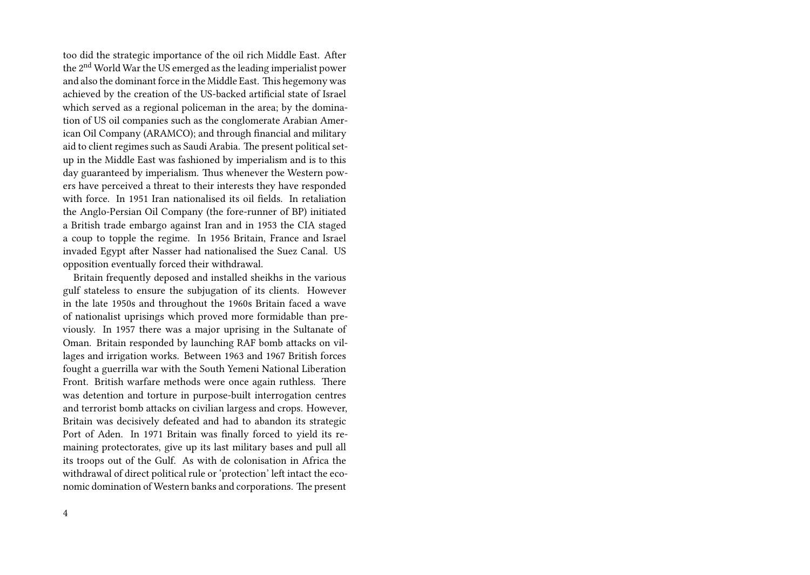too did the strategic importance of the oil rich Middle East. After the 2nd World War the US emerged as the leading imperialist power and also the dominant force in the Middle East. This hegemony was achieved by the creation of the US-backed artificial state of Israel which served as a regional policeman in the area; by the domination of US oil companies such as the conglomerate Arabian American Oil Company (ARAMCO); and through financial and military aid to client regimes such as Saudi Arabia. The present political setup in the Middle East was fashioned by imperialism and is to this day guaranteed by imperialism. Thus whenever the Western powers have perceived a threat to their interests they have responded with force. In 1951 Iran nationalised its oil fields. In retaliation the Anglo-Persian Oil Company (the fore-runner of BP) initiated a British trade embargo against Iran and in 1953 the CIA staged a coup to topple the regime. In 1956 Britain, France and Israel invaded Egypt after Nasser had nationalised the Suez Canal. US opposition eventually forced their withdrawal.

Britain frequently deposed and installed sheikhs in the various gulf stateless to ensure the subjugation of its clients. However in the late 1950s and throughout the 1960s Britain faced a wave of nationalist uprisings which proved more formidable than previously. In 1957 there was a major uprising in the Sultanate of Oman. Britain responded by launching RAF bomb attacks on villages and irrigation works. Between 1963 and 1967 British forces fought a guerrilla war with the South Yemeni National Liberation Front. British warfare methods were once again ruthless. There was detention and torture in purpose-built interrogation centres and terrorist bomb attacks on civilian largess and crops. However, Britain was decisively defeated and had to abandon its strategic Port of Aden. In 1971 Britain was finally forced to yield its remaining protectorates, give up its last military bases and pull all its troops out of the Gulf. As with de colonisation in Africa the withdrawal of direct political rule or 'protection' left intact the economic domination of Western banks and corporations. The present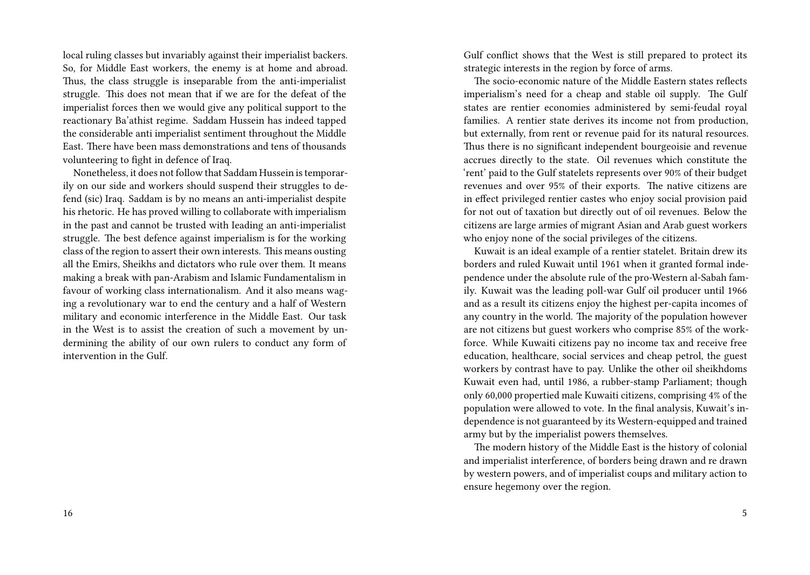local ruling classes but invariably against their imperialist backers. So, for Middle East workers, the enemy is at home and abroad. Thus, the class struggle is inseparable from the anti-imperialist struggle. This does not mean that if we are for the defeat of the imperialist forces then we would give any political support to the reactionary Ba'athist regime. Saddam Hussein has indeed tapped the considerable anti imperialist sentiment throughout the Middle East. There have been mass demonstrations and tens of thousands volunteering to fight in defence of Iraq.

Nonetheless, it does not follow that Saddam Hussein is temporarily on our side and workers should suspend their struggles to defend (sic) Iraq. Saddam is by no means an anti-imperialist despite his rhetoric. He has proved willing to collaborate with imperialism in the past and cannot be trusted with Ieading an anti-imperialist struggle. The best defence against imperialism is for the working class of the region to assert their own interests. This means ousting all the Emirs, Sheikhs and dictators who rule over them. It means making a break with pan-Arabism and Islamic Fundamentalism in favour of working class internationalism. And it also means waging a revolutionary war to end the century and a half of Western military and economic interference in the Middle East. Our task in the West is to assist the creation of such a movement by undermining the ability of our own rulers to conduct any form of intervention in the Gulf.

Gulf conflict shows that the West is still prepared to protect its strategic interests in the region by force of arms.

The socio-economic nature of the Middle Eastern states reflects imperialism's need for a cheap and stable oil supply. The Gulf states are rentier economies administered by semi-feudal royal families. A rentier state derives its income not from production, but externally, from rent or revenue paid for its natural resources. Thus there is no significant independent bourgeoisie and revenue accrues directly to the state. Oil revenues which constitute the 'rent' paid to the Gulf statelets represents over 90% of their budget revenues and over 95% of their exports. The native citizens are in effect privileged rentier castes who enjoy social provision paid for not out of taxation but directly out of oil revenues. Below the citizens are large armies of migrant Asian and Arab guest workers who enjoy none of the social privileges of the citizens.

Kuwait is an ideal example of a rentier statelet. Britain drew its borders and ruled Kuwait until 1961 when it granted formal independence under the absolute rule of the pro-Western al-Sabah family. Kuwait was the leading poll-war Gulf oil producer until 1966 and as a result its citizens enjoy the highest per-capita incomes of any country in the world. The majority of the population however are not citizens but guest workers who comprise 85% of the workforce. While Kuwaiti citizens pay no income tax and receive free education, healthcare, social services and cheap petrol, the guest workers by contrast have to pay. Unlike the other oil sheikhdoms Kuwait even had, until 1986, a rubber-stamp Parliament; though only 60,000 propertied male Kuwaiti citizens, comprising 4% of the population were allowed to vote. In the final analysis, Kuwait's independence is not guaranteed by its Western-equipped and trained army but by the imperialist powers themselves.

The modern history of the Middle East is the history of colonial and imperialist interference, of borders being drawn and re drawn by western powers, and of imperialist coups and military action to ensure hegemony over the region.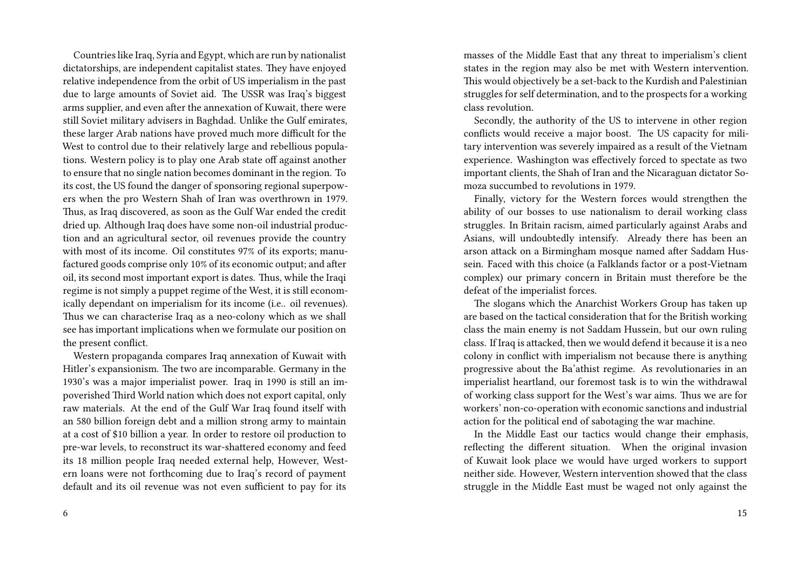Countries like Iraq, Syria and Egypt, which are run by nationalist dictatorships, are independent capitalist states. They have enjoyed relative independence from the orbit of US imperialism in the past due to large amounts of Soviet aid. The USSR was Iraq's biggest arms supplier, and even after the annexation of Kuwait, there were still Soviet military advisers in Baghdad. Unlike the Gulf emirates, these larger Arab nations have proved much more difficult for the West to control due to their relatively large and rebellious populations. Western policy is to play one Arab state off against another to ensure that no single nation becomes dominant in the region. To its cost, the US found the danger of sponsoring regional superpowers when the pro Western Shah of Iran was overthrown in 1979. Thus, as Iraq discovered, as soon as the Gulf War ended the credit dried up. Although Iraq does have some non-oil industrial production and an agricultural sector, oil revenues provide the country with most of its income. Oil constitutes 97% of its exports; manufactured goods comprise only 10% of its economic output; and after oil, its second most important export is dates. Thus, while the Iraqi regime is not simply a puppet regime of the West, it is still economically dependant on imperialism for its income (i.e.. oil revenues). Thus we can characterise Iraq as a neo-colony which as we shall see has important implications when we formulate our position on the present conflict.

Western propaganda compares Iraq annexation of Kuwait with Hitler's expansionism. The two are incomparable. Germany in the 1930's was a major imperialist power. Iraq in 1990 is still an impoverished Third World nation which does not export capital, only raw materials. At the end of the Gulf War Iraq found itself with an 580 billion foreign debt and a million strong army to maintain at a cost of \$10 billion a year. In order to restore oil production to pre-war levels, to reconstruct its war-shattered economy and feed its 18 million people Iraq needed external help, However, Western loans were not forthcoming due to Iraq's record of payment default and its oil revenue was not even sufficient to pay for its masses of the Middle East that any threat to imperialism's client states in the region may also be met with Western intervention. This would objectively be a set-back to the Kurdish and Palestinian struggles for self determination, and to the prospects for a working class revolution.

Secondly, the authority of the US to intervene in other region conflicts would receive a major boost. The US capacity for military intervention was severely impaired as a result of the Vietnam experience. Washington was effectively forced to spectate as two important clients, the Shah of Iran and the Nicaraguan dictator Somoza succumbed to revolutions in 1979.

Finally, victory for the Western forces would strengthen the ability of our bosses to use nationalism to derail working class struggles. In Britain racism, aimed particularly against Arabs and Asians, will undoubtedly intensify. Already there has been an arson attack on a Birmingham mosque named after Saddam Hussein. Faced with this choice (a Falklands factor or a post-Vietnam complex) our primary concern in Britain must therefore be the defeat of the imperialist forces.

The slogans which the Anarchist Workers Group has taken up are based on the tactical consideration that for the British working class the main enemy is not Saddam Hussein, but our own ruling class. If Iraq is attacked, then we would defend it because it is a neo colony in conflict with imperialism not because there is anything progressive about the Ba'athist regime. As revolutionaries in an imperialist heartland, our foremost task is to win the withdrawal of working class support for the West's war aims. Thus we are for workers' non-co-operation with economic sanctions and industrial action for the political end of sabotaging the war machine.

In the Middle East our tactics would change their emphasis, reflecting the different situation. When the original invasion of Kuwait look place we would have urged workers to support neither side. However, Western intervention showed that the class struggle in the Middle East must be waged not only against the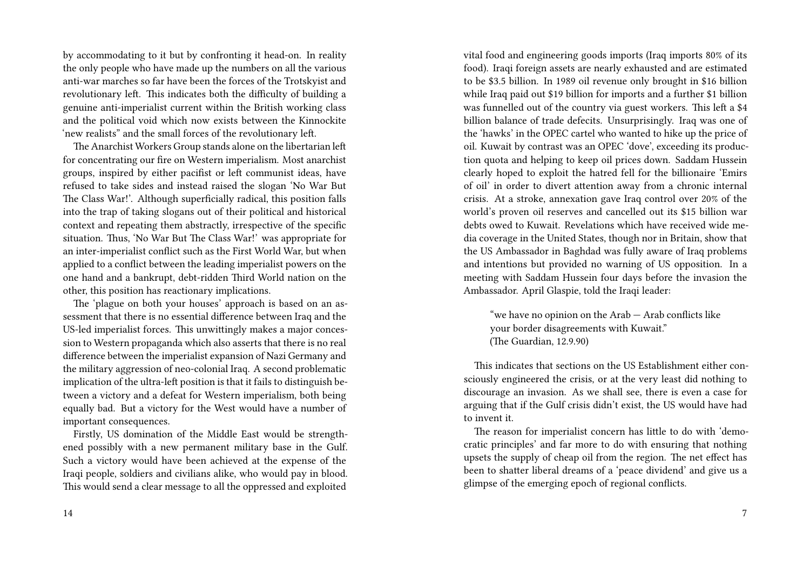by accommodating to it but by confronting it head-on. In reality the only people who have made up the numbers on all the various anti-war marches so far have been the forces of the Trotskyist and revolutionary left. This indicates both the difficulty of building a genuine anti-imperialist current within the British working class and the political void which now exists between the Kinnockite 'new realists" and the small forces of the revolutionary left.

The Anarchist Workers Group stands alone on the libertarian left for concentrating our fire on Western imperialism. Most anarchist groups, inspired by either pacifist or left communist ideas, have refused to take sides and instead raised the slogan 'No War But The Class War!'. Although superficially radical, this position falls into the trap of taking slogans out of their political and historical context and repeating them abstractly, irrespective of the specific situation. Thus, 'No War But The Class War!' was appropriate for an inter-imperialist conflict such as the First World War, but when applied to a conflict between the leading imperialist powers on the one hand and a bankrupt, debt-ridden Third World nation on the other, this position has reactionary implications.

The 'plague on both your houses' approach is based on an assessment that there is no essential difference between Iraq and the US-led imperialist forces. This unwittingly makes a major concession to Western propaganda which also asserts that there is no real difference between the imperialist expansion of Nazi Germany and the military aggression of neo-colonial Iraq. A second problematic implication of the ultra-left position is that it fails to distinguish between a victory and a defeat for Western imperialism, both being equally bad. But a victory for the West would have a number of important consequences.

Firstly, US domination of the Middle East would be strengthened possibly with a new permanent military base in the Gulf. Such a victory would have been achieved at the expense of the Iraqi people, soldiers and civilians alike, who would pay in blood. This would send a clear message to all the oppressed and exploited

vital food and engineering goods imports (Iraq imports 80% of its food). Iraqi foreign assets are nearly exhausted and are estimated to be \$3.5 billion. In 1989 oil revenue only brought in \$16 billion while Iraq paid out \$19 billion for imports and a further \$1 billion was funnelled out of the country via guest workers. This left a \$4 billion balance of trade defecits. Unsurprisingly. Iraq was one of the 'hawks' in the OPEC cartel who wanted to hike up the price of oil. Kuwait by contrast was an OPEC 'dove', exceeding its production quota and helping to keep oil prices down. Saddam Hussein clearly hoped to exploit the hatred fell for the billionaire 'Emirs of oil' in order to divert attention away from a chronic internal crisis. At a stroke, annexation gave Iraq control over 20% of the world's proven oil reserves and cancelled out its \$15 billion war debts owed to Kuwait. Revelations which have received wide media coverage in the United States, though nor in Britain, show that the US Ambassador in Baghdad was fully aware of Iraq problems and intentions but provided no warning of US opposition. In a meeting with Saddam Hussein four days before the invasion the Ambassador. April Glaspie, told the Iraqi leader:

"we have no opinion on the Arab — Arab conflicts like your border disagreements with Kuwait." (The Guardian, 12.9.90)

This indicates that sections on the US Establishment either consciously engineered the crisis, or at the very least did nothing to discourage an invasion. As we shall see, there is even a case for arguing that if the Gulf crisis didn't exist, the US would have had to invent it.

The reason for imperialist concern has little to do with 'democratic principles' and far more to do with ensuring that nothing upsets the supply of cheap oil from the region. The net effect has been to shatter liberal dreams of a 'peace dividend' and give us a glimpse of the emerging epoch of regional conflicts.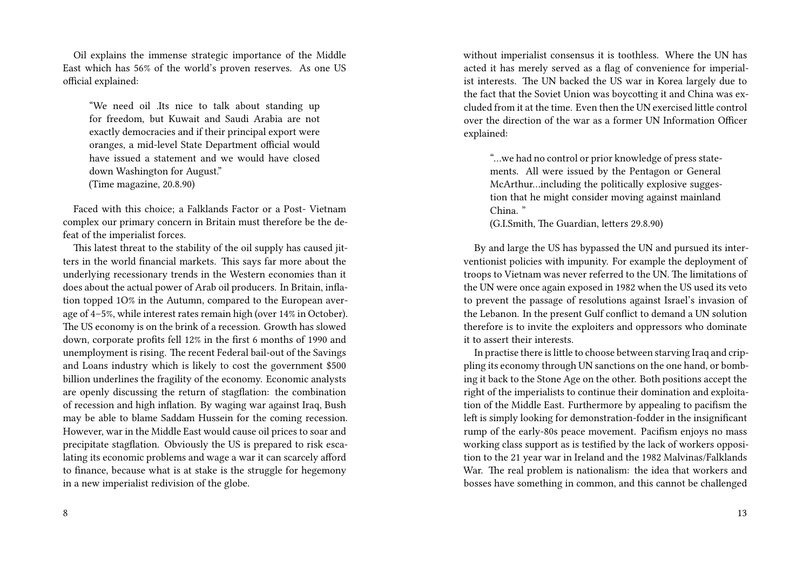Oil explains the immense strategic importance of the Middle East which has 56% of the world's proven reserves. As one US official explained:

"We need oil .Its nice to talk about standing up for freedom, but Kuwait and Saudi Arabia are not exactly democracies and if their principal export were oranges, a mid-level State Department official would have issued a statement and we would have closed down Washington for August." (Time magazine, 20.8.90)

Faced with this choice; a Falklands Factor or a Post- Vietnam complex our primary concern in Britain must therefore be the defeat of the imperialist forces.

This latest threat to the stability of the oil supply has caused jitters in the world financial markets. This says far more about the underlying recessionary trends in the Western economies than it does about the actual power of Arab oil producers. In Britain, inflation topped 1O% in the Autumn, compared to the European average of 4–5%, while interest rates remain high (over 14% in October). The US economy is on the brink of a recession. Growth has slowed down, corporate profits fell 12% in the first 6 months of 1990 and unemployment is rising. The recent Federal bail-out of the Savings and Loans industry which is likely to cost the government \$500 billion underlines the fragility of the economy. Economic analysts are openly discussing the return of stagflation: the combination of recession and high inflation. By waging war against Iraq, Bush may be able to blame Saddam Hussein for the coming recession. However, war in the Middle East would cause oil prices to soar and precipitate stagflation. Obviously the US is prepared to risk escalating its economic problems and wage a war it can scarcely afford to finance, because what is at stake is the struggle for hegemony in a new imperialist redivision of the globe.

without imperialist consensus it is toothless. Where the UN has acted it has merely served as a flag of convenience for imperialist interests. The UN backed the US war in Korea largely due to the fact that the Soviet Union was boycotting it and China was excluded from it at the time. Even then the UN exercised little control over the direction of the war as a former UN Information Officer explained:

"…we had no control or prior knowledge of press statements. All were issued by the Pentagon or General McArthur…including the politically explosive suggestion that he might consider moving against mainland China. "

(G.I.Smith, The Guardian, letters 29.8.90)

By and large the US has bypassed the UN and pursued its interventionist policies with impunity. For example the deployment of troops to Vietnam was never referred to the UN. The limitations of the UN were once again exposed in 1982 when the US used its veto to prevent the passage of resolutions against Israel's invasion of the Lebanon. In the present Gulf conflict to demand a UN solution therefore is to invite the exploiters and oppressors who dominate it to assert their interests.

In practise there is little to choose between starving Iraq and crippling its economy through UN sanctions on the one hand, or bombing it back to the Stone Age on the other. Both positions accept the right of the imperialists to continue their domination and exploitation of the Middle East. Furthermore by appealing to pacifism the left is simply looking for demonstration-fodder in the insignificant rump of the early-80s peace movement. Pacifism enjoys no mass working class support as is testified by the lack of workers opposition to the 21 year war in Ireland and the 1982 Malvinas/Falklands War. The real problem is nationalism: the idea that workers and bosses have something in common, and this cannot be challenged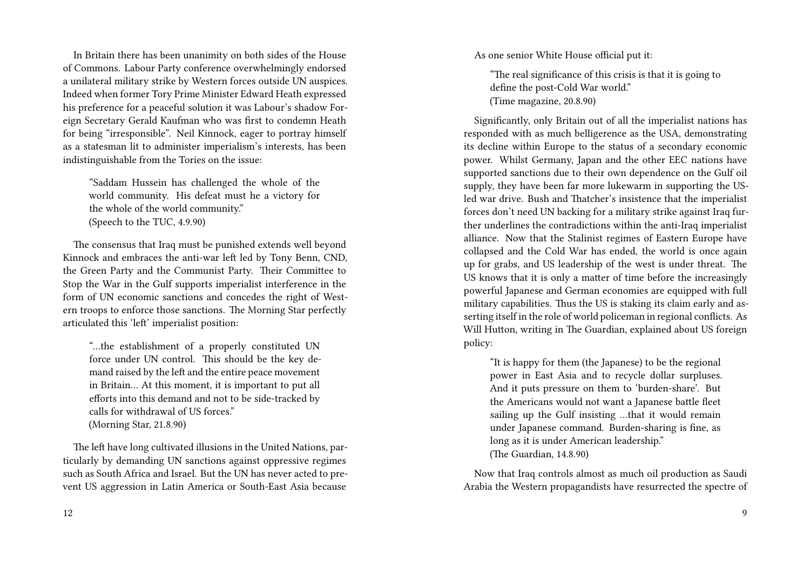In Britain there has been unanimity on both sides of the House of Commons. Labour Party conference overwhelmingly endorsed a unilateral military strike by Western forces outside UN auspices. Indeed when former Tory Prime Minister Edward Heath expressed his preference for a peaceful solution it was Labour's shadow Foreign Secretary Gerald Kaufman who was first to condemn Heath for being "irresponsible". Neil Kinnock, eager to portray himself as a statesman lit to administer imperialism's interests, has been indistinguishable from the Tories on the issue:

"Saddam Hussein has challenged the whole of the world community. His defeat must he a victory for the whole of the world community." (Speech to the TUC, 4.9.90)

The consensus that Iraq must be punished extends well beyond Kinnock and embraces the anti-war left led by Tony Benn, CND, the Green Party and the Communist Party. Their Committee to Stop the War in the Gulf supports imperialist interference in the form of UN economic sanctions and concedes the right of Western troops to enforce those sanctions. The Morning Star perfectly articulated this 'left' imperialist position:

"…the establishment of a properly constituted UN force under UN control. This should be the key demand raised by the left and the entire peace movement in Britain… At this moment, it is important to put all efforts into this demand and not to be side-tracked by calls for withdrawal of US forces." (Morning Star, 21.8.90)

The left have long cultivated illusions in the United Nations, particularly by demanding UN sanctions against oppressive regimes such as South Africa and Israel. But the UN has never acted to prevent US aggression in Latin America or South-East Asia because As one senior White House official put it:

"The real significance of this crisis is that it is going to define the post-Cold War world." (Time magazine, 20.8.90)

Significantly, only Britain out of all the imperialist nations has responded with as much belligerence as the USA, demonstrating its decline within Europe to the status of a secondary economic power. Whilst Germany, Japan and the other EEC nations have supported sanctions due to their own dependence on the Gulf oil supply, they have been far more lukewarm in supporting the USled war drive. Bush and Thatcher's insistence that the imperialist forces don't need UN backing for a military strike against Iraq further underlines the contradictions within the anti-Iraq imperialist alliance. Now that the Stalinist regimes of Eastern Europe have collapsed and the Cold War has ended, the world is once again up for grabs, and US leadership of the west is under threat. The US knows that it is only a matter of time before the increasingly powerful Japanese and German economies are equipped with full military capabilities. Thus the US is staking its claim early and asserting itself in the role of world policeman in regional conflicts. As Will Hutton, writing in The Guardian, explained about US foreign policy:

"It is happy for them (the Japanese) to be the regional power in East Asia and to recycle dollar surpluses. And it puts pressure on them to 'burden-share'. But the Americans would not want a Japanese battle fleet sailing up the Gulf insisting …that it would remain under Japanese command. Burden-sharing is fine, as long as it is under American leadership." (The Guardian, 14.8.90)

Now that Iraq controls almost as much oil production as Saudi Arabia the Western propagandists have resurrected the spectre of